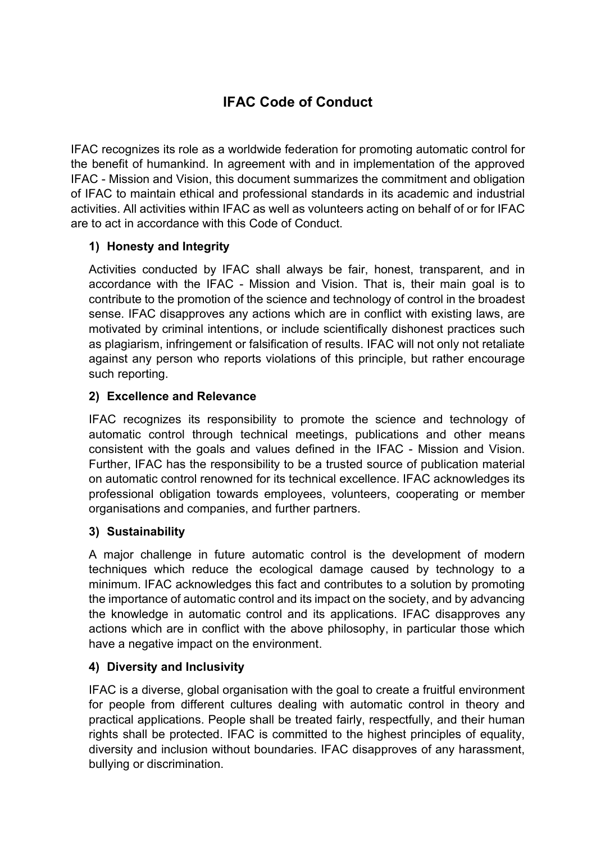# IFAC Code of Conduct

IFAC recognizes its role as a worldwide federation for promoting automatic control for the benefit of humankind. In agreement with and in implementation of the approved IFAC - Mission and Vision, this document summarizes the commitment and obligation of IFAC to maintain ethical and professional standards in its academic and industrial activities. All activities within IFAC as well as volunteers acting on behalf of or for IFAC are to act in accordance with this Code of Conduct.

## 1) Honesty and Integrity

Activities conducted by IFAC shall always be fair, honest, transparent, and in accordance with the IFAC - Mission and Vision. That is, their main goal is to contribute to the promotion of the science and technology of control in the broadest sense. IFAC disapproves any actions which are in conflict with existing laws, are motivated by criminal intentions, or include scientifically dishonest practices such as plagiarism, infringement or falsification of results. IFAC will not only not retaliate against any person who reports violations of this principle, but rather encourage such reporting.

### 2) Excellence and Relevance

IFAC recognizes its responsibility to promote the science and technology of automatic control through technical meetings, publications and other means consistent with the goals and values defined in the IFAC - Mission and Vision. Further, IFAC has the responsibility to be a trusted source of publication material on automatic control renowned for its technical excellence. IFAC acknowledges its professional obligation towards employees, volunteers, cooperating or member organisations and companies, and further partners.

#### 3) Sustainability

A major challenge in future automatic control is the development of modern techniques which reduce the ecological damage caused by technology to a minimum. IFAC acknowledges this fact and contributes to a solution by promoting the importance of automatic control and its impact on the society, and by advancing the knowledge in automatic control and its applications. IFAC disapproves any actions which are in conflict with the above philosophy, in particular those which have a negative impact on the environment.

#### 4) Diversity and Inclusivity

IFAC is a diverse, global organisation with the goal to create a fruitful environment for people from different cultures dealing with automatic control in theory and practical applications. People shall be treated fairly, respectfully, and their human rights shall be protected. IFAC is committed to the highest principles of equality, diversity and inclusion without boundaries. IFAC disapproves of any harassment, bullying or discrimination.